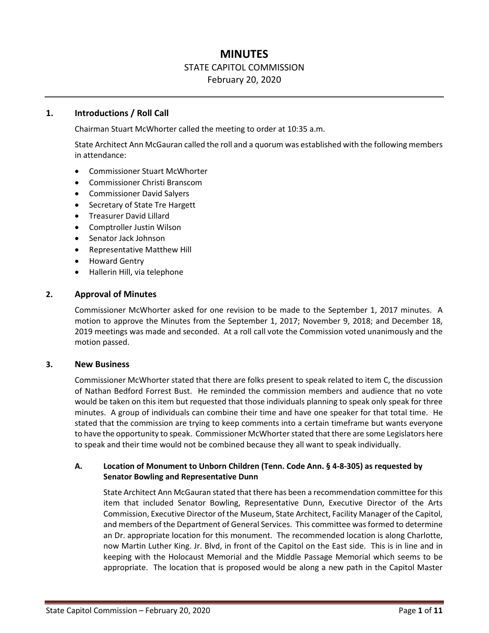# **MINUTES** STATE CAPITOL COMMISSION February 20, 2020

### **1. Introductions / Roll Call**

Chairman Stuart McWhorter called the meeting to order at 10:35 a.m.

State Architect Ann McGauran called the roll and a quorum was established with the following members in attendance:

- Commissioner Stuart McWhorter
- Commissioner Christi Branscom
- Commissioner David Salyers
- Secretary of State Tre Hargett
- Treasurer David Lillard
- Comptroller Justin Wilson
- Senator Jack Johnson
- Representative Matthew Hill
- Howard Gentry
- Hallerin Hill, via telephone

## **2. Approval of Minutes**

Commissioner McWhorter asked for one revision to be made to the September 1, 2017 minutes. A motion to approve the Minutes from the September 1, 2017; November 9, 2018; and December 18, 2019 meetings was made and seconded. At a roll call vote the Commission voted unanimously and the motion passed.

#### **3. New Business**

Commissioner McWhorter stated that there are folks present to speak related to item C, the discussion of Nathan Bedford Forrest Bust. He reminded the commission members and audience that no vote would be taken on this item but requested that those individuals planning to speak only speak for three minutes. A group of individuals can combine their time and have one speaker for that total time. He stated that the commission are trying to keep comments into a certain timeframe but wants everyone to have the opportunity to speak. Commissioner McWhorter stated that there are some Legislators here to speak and their time would not be combined because they all want to speak individually.

## **A. Location of Monument to Unborn Children (Tenn. Code Ann. § 4-8-305) as requested by Senator Bowling and Representative Dunn**

State Architect Ann McGauran stated that there has been a recommendation committee for this item that included Senator Bowling, Representative Dunn, Executive Director of the Arts Commission, Executive Director of the Museum, State Architect, Facility Manager of the Capitol, and members of the Department of General Services. This committee was formed to determine an Dr. appropriate location for this monument. The recommended location is along Charlotte, now Martin Luther King. Jr. Blvd, in front of the Capitol on the East side. This is in line and in keeping with the Holocaust Memorial and the Middle Passage Memorial which seems to be appropriate. The location that is proposed would be along a new path in the Capitol Master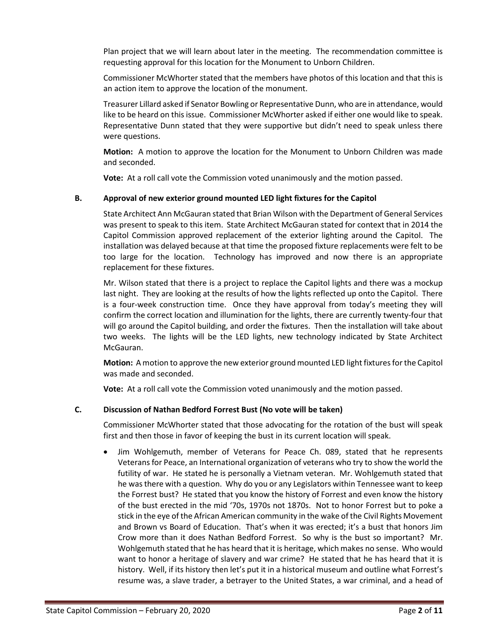Plan project that we will learn about later in the meeting. The recommendation committee is requesting approval for this location for the Monument to Unborn Children.

Commissioner McWhorter stated that the members have photos of this location and that this is an action item to approve the location of the monument.

Treasurer Lillard asked if Senator Bowling or Representative Dunn, who are in attendance, would like to be heard on this issue. Commissioner McWhorter asked if either one would like to speak. Representative Dunn stated that they were supportive but didn't need to speak unless there were questions.

**Motion:** A motion to approve the location for the Monument to Unborn Children was made and seconded.

**Vote:** At a roll call vote the Commission voted unanimously and the motion passed.

## **B. Approval of new exterior ground mounted LED light fixtures for the Capitol**

State Architect Ann McGauran stated that Brian Wilson with the Department of General Services was present to speak to this item. State Architect McGauran stated for context that in 2014 the Capitol Commission approved replacement of the exterior lighting around the Capitol. The installation was delayed because at that time the proposed fixture replacements were felt to be too large for the location. Technology has improved and now there is an appropriate replacement for these fixtures.

Mr. Wilson stated that there is a project to replace the Capitol lights and there was a mockup last night. They are looking at the results of how the lights reflected up onto the Capitol. There is a four-week construction time. Once they have approval from today's meeting they will confirm the correct location and illumination for the lights, there are currently twenty-four that will go around the Capitol building, and order the fixtures. Then the installation will take about two weeks. The lights will be the LED lights, new technology indicated by State Architect McGauran.

**Motion:** A motion to approve the new exterior ground mounted LED light fixtures for the Capitol was made and seconded.

**Vote:** At a roll call vote the Commission voted unanimously and the motion passed.

## **C. Discussion of Nathan Bedford Forrest Bust (No vote will be taken)**

Commissioner McWhorter stated that those advocating for the rotation of the bust will speak first and then those in favor of keeping the bust in its current location will speak.

• Jim Wohlgemuth, member of Veterans for Peace Ch. 089, stated that he represents Veterans for Peace, an International organization of veterans who try to show the world the futility of war. He stated he is personally a Vietnam veteran. Mr. Wohlgemuth stated that he was there with a question. Why do you or any Legislators within Tennessee want to keep the Forrest bust? He stated that you know the history of Forrest and even know the history of the bust erected in the mid '70s, 1970s not 1870s. Not to honor Forrest but to poke a stick in the eye of the African American community in the wake of the Civil Rights Movement and Brown vs Board of Education. That's when it was erected; it's a bust that honors Jim Crow more than it does Nathan Bedford Forrest. So why is the bust so important? Mr. Wohlgemuth stated that he has heard that it is heritage, which makes no sense. Who would want to honor a heritage of slavery and war crime? He stated that he has heard that it is history. Well, if its history then let's put it in a historical museum and outline what Forrest's resume was, a slave trader, a betrayer to the United States, a war criminal, and a head of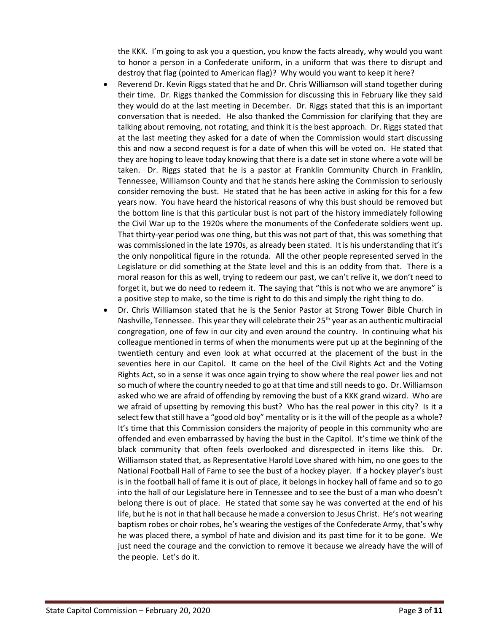the KKK. I'm going to ask you a question, you know the facts already, why would you want to honor a person in a Confederate uniform, in a uniform that was there to disrupt and destroy that flag (pointed to American flag)? Why would you want to keep it here?

- Reverend Dr. Kevin Riggs stated that he and Dr. Chris Williamson will stand together during their time. Dr. Riggs thanked the Commission for discussing this in February like they said they would do at the last meeting in December. Dr. Riggs stated that this is an important conversation that is needed. He also thanked the Commission for clarifying that they are talking about removing, not rotating, and think it is the best approach. Dr. Riggs stated that at the last meeting they asked for a date of when the Commission would start discussing this and now a second request is for a date of when this will be voted on. He stated that they are hoping to leave today knowing that there is a date set in stone where a vote will be taken. Dr. Riggs stated that he is a pastor at Franklin Community Church in Franklin, Tennessee, Williamson County and that he stands here asking the Commission to seriously consider removing the bust. He stated that he has been active in asking for this for a few years now. You have heard the historical reasons of why this bust should be removed but the bottom line is that this particular bust is not part of the history immediately following the Civil War up to the 1920s where the monuments of the Confederate soldiers went up. That thirty-year period was one thing, but this was not part of that, this was something that was commissioned in the late 1970s, as already been stated. It is his understanding that it's the only nonpolitical figure in the rotunda. All the other people represented served in the Legislature or did something at the State level and this is an oddity from that. There is a moral reason for this as well, trying to redeem our past, we can't relive it, we don't need to forget it, but we do need to redeem it. The saying that "this is not who we are anymore" is a positive step to make, so the time is right to do this and simply the right thing to do.
- Dr. Chris Williamson stated that he is the Senior Pastor at Strong Tower Bible Church in Nashville, Tennessee. This year they will celebrate their 25<sup>th</sup> year as an authentic multiracial congregation, one of few in our city and even around the country. In continuing what his colleague mentioned in terms of when the monuments were put up at the beginning of the twentieth century and even look at what occurred at the placement of the bust in the seventies here in our Capitol. It came on the heel of the Civil Rights Act and the Voting Rights Act, so in a sense it was once again trying to show where the real power lies and not so much of where the country needed to go at that time and still needs to go. Dr. Williamson asked who we are afraid of offending by removing the bust of a KKK grand wizard. Who are we afraid of upsetting by removing this bust? Who has the real power in this city? Is it a select few that still have a "good old boy" mentality or is it the will of the people as a whole? It's time that this Commission considers the majority of people in this community who are offended and even embarrassed by having the bust in the Capitol. It's time we think of the black community that often feels overlooked and disrespected in items like this. Dr. Williamson stated that, as Representative Harold Love shared with him, no one goes to the National Football Hall of Fame to see the bust of a hockey player. If a hockey player's bust is in the football hall of fame it is out of place, it belongs in hockey hall of fame and so to go into the hall of our Legislature here in Tennessee and to see the bust of a man who doesn't belong there is out of place. He stated that some say he was converted at the end of his life, but he is not in that hall because he made a conversion to Jesus Christ. He's not wearing baptism robes or choir robes, he's wearing the vestiges of the Confederate Army, that's why he was placed there, a symbol of hate and division and its past time for it to be gone. We just need the courage and the conviction to remove it because we already have the will of the people. Let's do it.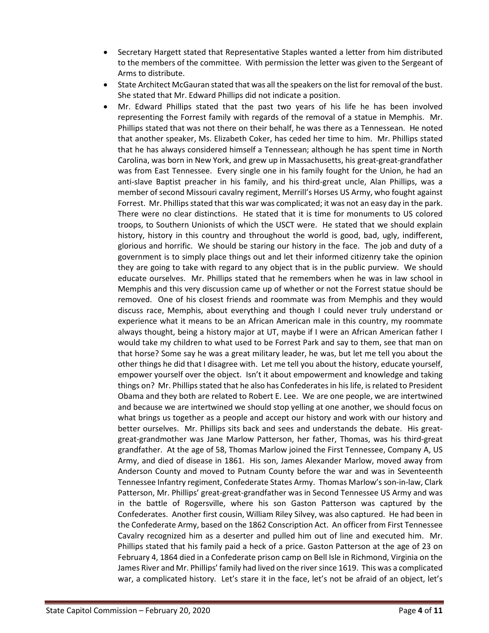- Secretary Hargett stated that Representative Staples wanted a letter from him distributed to the members of the committee. With permission the letter was given to the Sergeant of Arms to distribute.
- State Architect McGauran stated that was all the speakers on the list for removal of the bust. She stated that Mr. Edward Phillips did not indicate a position.
- Mr. Edward Phillips stated that the past two years of his life he has been involved representing the Forrest family with regards of the removal of a statue in Memphis. Mr. Phillips stated that was not there on their behalf, he was there as a Tennessean. He noted that another speaker, Ms. Elizabeth Coker, has ceded her time to him. Mr. Phillips stated that he has always considered himself a Tennessean; although he has spent time in North Carolina, was born in New York, and grew up in Massachusetts, his great-great-grandfather was from East Tennessee. Every single one in his family fought for the Union, he had an anti-slave Baptist preacher in his family, and his third-great uncle, Alan Phillips, was a member of second Missouri cavalry regiment, Merrill's Horses US Army, who fought against Forrest. Mr. Phillips stated that this war was complicated; it was not an easy day in the park. There were no clear distinctions. He stated that it is time for monuments to US colored troops, to Southern Unionists of which the USCT were. He stated that we should explain history, history in this country and throughout the world is good, bad, ugly, indifferent, glorious and horrific. We should be staring our history in the face. The job and duty of a government is to simply place things out and let their informed citizenry take the opinion they are going to take with regard to any object that is in the public purview. We should educate ourselves. Mr. Phillips stated that he remembers when he was in law school in Memphis and this very discussion came up of whether or not the Forrest statue should be removed. One of his closest friends and roommate was from Memphis and they would discuss race, Memphis, about everything and though I could never truly understand or experience what it means to be an African American male in this country, my roommate always thought, being a history major at UT, maybe if I were an African American father I would take my children to what used to be Forrest Park and say to them, see that man on that horse? Some say he was a great military leader, he was, but let me tell you about the other things he did that I disagree with. Let me tell you about the history, educate yourself, empower yourself over the object. Isn't it about empowerment and knowledge and taking things on? Mr. Phillips stated that he also has Confederates in his life, is related to President Obama and they both are related to Robert E. Lee. We are one people, we are intertwined and because we are intertwined we should stop yelling at one another, we should focus on what brings us together as a people and accept our history and work with our history and better ourselves. Mr. Phillips sits back and sees and understands the debate. His greatgreat-grandmother was Jane Marlow Patterson, her father, Thomas, was his third-great grandfather. At the age of 58, Thomas Marlow joined the First Tennessee, Company A, US Army, and died of disease in 1861. His son, James Alexander Marlow, moved away from Anderson County and moved to Putnam County before the war and was in Seventeenth Tennessee Infantry regiment, Confederate States Army. Thomas Marlow's son-in-law, Clark Patterson, Mr. Phillips' great-great-grandfather was in Second Tennessee US Army and was in the battle of Rogersville, where his son Gaston Patterson was captured by the Confederates. Another first cousin, William Riley Silvey, was also captured. He had been in the Confederate Army, based on the 1862 Conscription Act. An officer from First Tennessee Cavalry recognized him as a deserter and pulled him out of line and executed him. Mr. Phillips stated that his family paid a heck of a price. Gaston Patterson at the age of 23 on February 4, 1864 died in a Confederate prison camp on Bell Isle in Richmond, Virginia on the James River and Mr. Phillips' family had lived on the river since 1619. This was a complicated war, a complicated history. Let's stare it in the face, let's not be afraid of an object, let's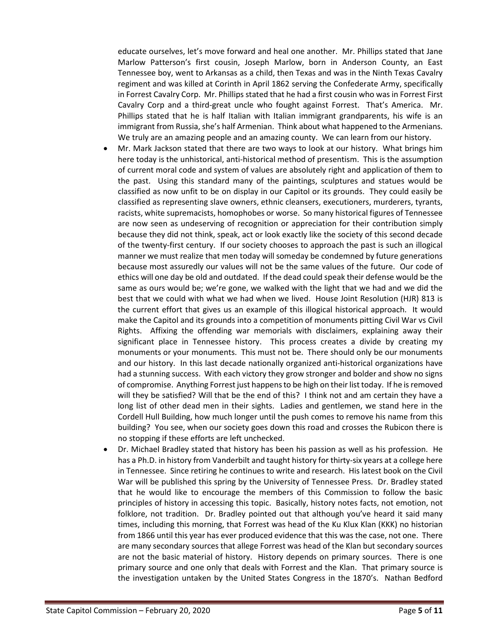educate ourselves, let's move forward and heal one another. Mr. Phillips stated that Jane Marlow Patterson's first cousin, Joseph Marlow, born in Anderson County, an East Tennessee boy, went to Arkansas as a child, then Texas and was in the Ninth Texas Cavalry regiment and was killed at Corinth in April 1862 serving the Confederate Army, specifically in Forrest Cavalry Corp. Mr. Phillips stated that he had a first cousin who was in Forrest First Cavalry Corp and a third-great uncle who fought against Forrest. That's America. Mr. Phillips stated that he is half Italian with Italian immigrant grandparents, his wife is an immigrant from Russia, she's half Armenian. Think about what happened to the Armenians. We truly are an amazing people and an amazing county. We can learn from our history.

- Mr. Mark Jackson stated that there are two ways to look at our history. What brings him here today is the unhistorical, anti-historical method of presentism. This is the assumption of current moral code and system of values are absolutely right and application of them to the past. Using this standard many of the paintings, sculptures and statues would be classified as now unfit to be on display in our Capitol or its grounds. They could easily be classified as representing slave owners, ethnic cleansers, executioners, murderers, tyrants, racists, white supremacists, homophobes or worse. So many historical figures of Tennessee are now seen as undeserving of recognition or appreciation for their contribution simply because they did not think, speak, act or look exactly like the society of this second decade of the twenty-first century. If our society chooses to approach the past is such an illogical manner we must realize that men today will someday be condemned by future generations because most assuredly our values will not be the same values of the future. Our code of ethics will one day be old and outdated. If the dead could speak their defense would be the same as ours would be; we're gone, we walked with the light that we had and we did the best that we could with what we had when we lived. House Joint Resolution (HJR) 813 is the current effort that gives us an example of this illogical historical approach. It would make the Capitol and its grounds into a competition of monuments pitting Civil War vs Civil Rights. Affixing the offending war memorials with disclaimers, explaining away their significant place in Tennessee history. This process creates a divide by creating my monuments or your monuments. This must not be. There should only be our monuments and our history. In this last decade nationally organized anti-historical organizations have had a stunning success. With each victory they grow stronger and bolder and show no signs of compromise. Anything Forrest just happens to be high on their list today. If he is removed will they be satisfied? Will that be the end of this? I think not and am certain they have a long list of other dead men in their sights. Ladies and gentlemen, we stand here in the Cordell Hull Building, how much longer until the push comes to remove his name from this building? You see, when our society goes down this road and crosses the Rubicon there is no stopping if these efforts are left unchecked.
- Dr. Michael Bradley stated that history has been his passion as well as his profession. He has a Ph.D. in history from Vanderbilt and taught history for thirty-six years at a college here in Tennessee. Since retiring he continues to write and research. His latest book on the Civil War will be published this spring by the University of Tennessee Press. Dr. Bradley stated that he would like to encourage the members of this Commission to follow the basic principles of history in accessing this topic. Basically, history notes facts, not emotion, not folklore, not tradition. Dr. Bradley pointed out that although you've heard it said many times, including this morning, that Forrest was head of the Ku Klux Klan (KKK) no historian from 1866 until this year has ever produced evidence that this was the case, not one. There are many secondary sources that allege Forrest was head of the Klan but secondary sources are not the basic material of history. History depends on primary sources. There is one primary source and one only that deals with Forrest and the Klan. That primary source is the investigation untaken by the United States Congress in the 1870's. Nathan Bedford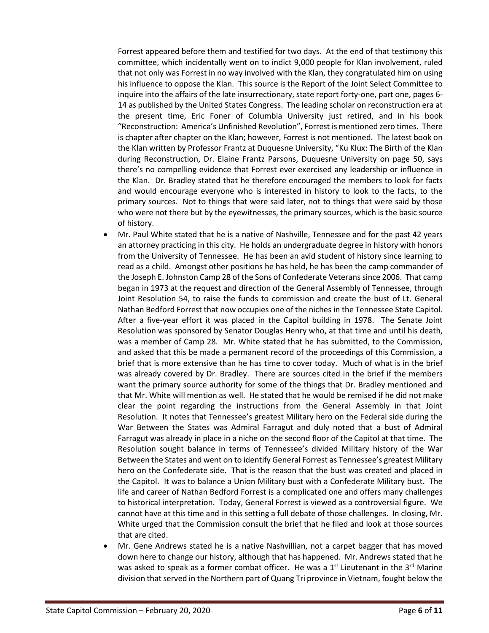Forrest appeared before them and testified for two days. At the end of that testimony this committee, which incidentally went on to indict 9,000 people for Klan involvement, ruled that not only was Forrest in no way involved with the Klan, they congratulated him on using his influence to oppose the Klan. This source is the Report of the Joint Select Committee to inquire into the affairs of the late insurrectionary, state report forty-one, part one, pages 6- 14 as published by the United States Congress. The leading scholar on reconstruction era at the present time, Eric Foner of Columbia University just retired, and in his book "Reconstruction: America's Unfinished Revolution", Forrest is mentioned zero times. There is chapter after chapter on the Klan; however, Forrest is not mentioned. The latest book on the Klan written by Professor Frantz at Duquesne University, "Ku Klux: The Birth of the Klan during Reconstruction, Dr. Elaine Frantz Parsons, Duquesne University on page 50, says there's no compelling evidence that Forrest ever exercised any leadership or influence in the Klan. Dr. Bradley stated that he therefore encouraged the members to look for facts and would encourage everyone who is interested in history to look to the facts, to the primary sources. Not to things that were said later, not to things that were said by those who were not there but by the eyewitnesses, the primary sources, which is the basic source of history.

- Mr. Paul White stated that he is a native of Nashville, Tennessee and for the past 42 years an attorney practicing in this city. He holds an undergraduate degree in history with honors from the University of Tennessee. He has been an avid student of history since learning to read as a child. Amongst other positions he has held, he has been the camp commander of the Joseph E. Johnston Camp 28 of the Sons of Confederate Veterans since 2006. That camp began in 1973 at the request and direction of the General Assembly of Tennessee, through Joint Resolution 54, to raise the funds to commission and create the bust of Lt. General Nathan Bedford Forrest that now occupies one of the niches in the Tennessee State Capitol. After a five-year effort it was placed in the Capitol building in 1978. The Senate Joint Resolution was sponsored by Senator Douglas Henry who, at that time and until his death, was a member of Camp 28. Mr. White stated that he has submitted, to the Commission, and asked that this be made a permanent record of the proceedings of this Commission, a brief that is more extensive than he has time to cover today. Much of what is in the brief was already covered by Dr. Bradley. There are sources cited in the brief if the members want the primary source authority for some of the things that Dr. Bradley mentioned and that Mr. White will mention as well. He stated that he would be remised if he did not make clear the point regarding the instructions from the General Assembly in that Joint Resolution. It notes that Tennessee's greatest Military hero on the Federal side during the War Between the States was Admiral Farragut and duly noted that a bust of Admiral Farragut was already in place in a niche on the second floor of the Capitol at that time. The Resolution sought balance in terms of Tennessee's divided Military history of the War Between the States and went on to identify General Forrest as Tennessee's greatest Military hero on the Confederate side. That is the reason that the bust was created and placed in the Capitol. It was to balance a Union Military bust with a Confederate Military bust. The life and career of Nathan Bedford Forrest is a complicated one and offers many challenges to historical interpretation. Today, General Forrest is viewed as a controversial figure. We cannot have at this time and in this setting a full debate of those challenges. In closing, Mr. White urged that the Commission consult the brief that he filed and look at those sources that are cited.
- Mr. Gene Andrews stated he is a native Nashvillian, not a carpet bagger that has moved down here to change our history, although that has happened. Mr. Andrews stated that he was asked to speak as a former combat officer. He was a  $1<sup>st</sup>$  Lieutenant in the  $3<sup>rd</sup>$  Marine division that served in the Northern part of Quang Tri province in Vietnam, fought below the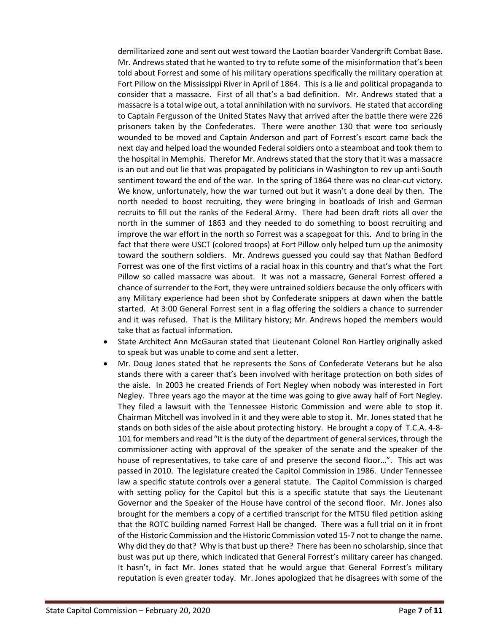demilitarized zone and sent out west toward the Laotian boarder Vandergrift Combat Base. Mr. Andrews stated that he wanted to try to refute some of the misinformation that's been told about Forrest and some of his military operations specifically the military operation at Fort Pillow on the Mississippi River in April of 1864. This is a lie and political propaganda to consider that a massacre. First of all that's a bad definition. Mr. Andrews stated that a massacre is a total wipe out, a total annihilation with no survivors. He stated that according to Captain Fergusson of the United States Navy that arrived after the battle there were 226 prisoners taken by the Confederates. There were another 130 that were too seriously wounded to be moved and Captain Anderson and part of Forrest's escort came back the next day and helped load the wounded Federal soldiers onto a steamboat and took them to the hospital in Memphis. Therefor Mr. Andrews stated that the story that it was a massacre is an out and out lie that was propagated by politicians in Washington to rev up anti-South sentiment toward the end of the war. In the spring of 1864 there was no clear-cut victory. We know, unfortunately, how the war turned out but it wasn't a done deal by then. The north needed to boost recruiting, they were bringing in boatloads of Irish and German recruits to fill out the ranks of the Federal Army. There had been draft riots all over the north in the summer of 1863 and they needed to do something to boost recruiting and improve the war effort in the north so Forrest was a scapegoat for this. And to bring in the fact that there were USCT (colored troops) at Fort Pillow only helped turn up the animosity toward the southern soldiers. Mr. Andrews guessed you could say that Nathan Bedford Forrest was one of the first victims of a racial hoax in this country and that's what the Fort Pillow so called massacre was about. It was not a massacre, General Forrest offered a chance of surrender to the Fort, they were untrained soldiers because the only officers with any Military experience had been shot by Confederate snippers at dawn when the battle started. At 3:00 General Forrest sent in a flag offering the soldiers a chance to surrender and it was refused. That is the Military history; Mr. Andrews hoped the members would take that as factual information.

- State Architect Ann McGauran stated that Lieutenant Colonel Ron Hartley originally asked to speak but was unable to come and sent a letter.
- Mr. Doug Jones stated that he represents the Sons of Confederate Veterans but he also stands there with a career that's been involved with heritage protection on both sides of the aisle. In 2003 he created Friends of Fort Negley when nobody was interested in Fort Negley. Three years ago the mayor at the time was going to give away half of Fort Negley. They filed a lawsuit with the Tennessee Historic Commission and were able to stop it. Chairman Mitchell was involved in it and they were able to stop it. Mr. Jones stated that he stands on both sides of the aisle about protecting history. He brought a copy of T.C.A. 4-8- 101 for members and read "It is the duty of the department of general services, through the commissioner acting with approval of the speaker of the senate and the speaker of the house of representatives, to take care of and preserve the second floor…". This act was passed in 2010. The legislature created the Capitol Commission in 1986. Under Tennessee law a specific statute controls over a general statute. The Capitol Commission is charged with setting policy for the Capitol but this is a specific statute that says the Lieutenant Governor and the Speaker of the House have control of the second floor. Mr. Jones also brought for the members a copy of a certified transcript for the MTSU filed petition asking that the ROTC building named Forrest Hall be changed. There was a full trial on it in front of the Historic Commission and the Historic Commission voted 15-7 not to change the name. Why did they do that? Why is that bust up there? There has been no scholarship, since that bust was put up there, which indicated that General Forrest's military career has changed. It hasn't, in fact Mr. Jones stated that he would argue that General Forrest's military reputation is even greater today. Mr. Jones apologized that he disagrees with some of the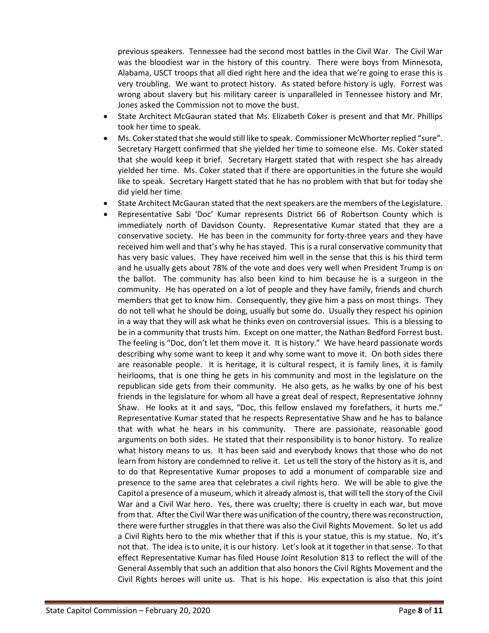previous speakers. Tennessee had the second most battles in the Civil War. The Civil War was the bloodiest war in the history of this country. There were boys from Minnesota, Alabama, USCT troops that all died right here and the idea that we're going to erase this is very troubling. We want to protect history. As stated before history is ugly. Forrest was wrong about slavery but his military career is unparalleled in Tennessee history and Mr. Jones asked the Commission not to move the bust.

- State Architect McGauran stated that Ms. Elizabeth Coker is present and that Mr. Phillips took her time to speak.
- Ms. Coker stated that she would still like to speak. Commissioner McWhorter replied "sure". Secretary Hargett confirmed that she yielded her time to someone else. Ms. Coker stated that she would keep it brief. Secretary Hargett stated that with respect she has already yielded her time. Ms. Coker stated that if there are opportunities in the future she would like to speak. Secretary Hargett stated that he has no problem with that but for today she did yield her time.
- State Architect McGauran stated that the next speakers are the members of the Legislature.
- Representative Sabi 'Doc' Kumar represents District 66 of Robertson County which is immediately north of Davidson County. Representative Kumar stated that they are a conservative society. He has been in the community for forty-three years and they have received him well and that's why he has stayed. This is a rural conservative community that has very basic values. They have received him well in the sense that this is his third term and he usually gets about 78% of the vote and does very well when President Trump is on the ballot. The community has also been kind to him because he is a surgeon in the community. He has operated on a lot of people and they have family, friends and church members that get to know him. Consequently, they give him a pass on most things. They do not tell what he should be doing, usually but some do. Usually they respect his opinion in a way that they will ask what he thinks even on controversial issues. This is a blessing to be in a community that trusts him. Except on one matter, the Nathan Bedford Forrest bust. The feeling is "Doc, don't let them move it. It is history." We have heard passionate words describing why some want to keep it and why some want to move it. On both sides there are reasonable people. It is heritage, it is cultural respect, it is family lines, it is family heirlooms, that is one thing he gets in his community and most in the legislature on the republican side gets from their community. He also gets, as he walks by one of his best friends in the legislature for whom all have a great deal of respect, Representative Johnny Shaw. He looks at it and says, "Doc, this fellow enslaved my forefathers, it hurts me." Representative Kumar stated that he respects Representative Shaw and he has to balance that with what he hears in his community. There are passionate, reasonable good arguments on both sides. He stated that their responsibility is to honor history. To realize what history means to us. It has been said and everybody knows that those who do not learn from history are condemned to relive it. Let us tell the story of the history as it is, and to do that Representative Kumar proposes to add a monument of comparable size and presence to the same area that celebrates a civil rights hero. We will be able to give the Capitol a presence of a museum, which it already almost is, that will tell the story of the Civil War and a Civil War hero. Yes, there was cruelty; there is cruelty in each war, but move from that. After the Civil War there was unification of the country, there was reconstruction, there were further struggles in that there was also the Civil Rights Movement. So let us add a Civil Rights hero to the mix whether that if this is your statue, this is my statue. No, it's not that. The idea is to unite, it is our history. Let's look at it together in that sense. To that effect Representative Kumar has filed House Joint Resolution 813 to reflect the will of the General Assembly that such an addition that also honors the Civil Rights Movement and the Civil Rights heroes will unite us. That is his hope. His expectation is also that this joint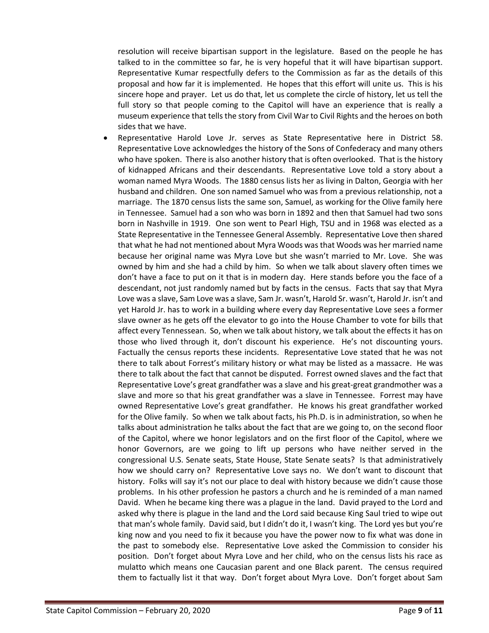resolution will receive bipartisan support in the legislature. Based on the people he has talked to in the committee so far, he is very hopeful that it will have bipartisan support. Representative Kumar respectfully defers to the Commission as far as the details of this proposal and how far it is implemented. He hopes that this effort will unite us. This is his sincere hope and prayer. Let us do that, let us complete the circle of history, let us tell the full story so that people coming to the Capitol will have an experience that is really a museum experience that tells the story from Civil War to Civil Rights and the heroes on both sides that we have.

• Representative Harold Love Jr. serves as State Representative here in District 58. Representative Love acknowledges the history of the Sons of Confederacy and many others who have spoken. There is also another history that is often overlooked. That is the history of kidnapped Africans and their descendants. Representative Love told a story about a woman named Myra Woods. The 1880 census lists her as living in Dalton, Georgia with her husband and children. One son named Samuel who was from a previous relationship, not a marriage. The 1870 census lists the same son, Samuel, as working for the Olive family here in Tennessee. Samuel had a son who was born in 1892 and then that Samuel had two sons born in Nashville in 1919. One son went to Pearl High, TSU and in 1968 was elected as a State Representative in the Tennessee General Assembly. Representative Love then shared that what he had not mentioned about Myra Woods was that Woods was her married name because her original name was Myra Love but she wasn't married to Mr. Love. She was owned by him and she had a child by him. So when we talk about slavery often times we don't have a face to put on it that is in modern day. Here stands before you the face of a descendant, not just randomly named but by facts in the census. Facts that say that Myra Love was a slave, Sam Love was a slave, Sam Jr. wasn't, Harold Sr. wasn't, Harold Jr. isn't and yet Harold Jr. has to work in a building where every day Representative Love sees a former slave owner as he gets off the elevator to go into the House Chamber to vote for bills that affect every Tennessean. So, when we talk about history, we talk about the effects it has on those who lived through it, don't discount his experience. He's not discounting yours. Factually the census reports these incidents. Representative Love stated that he was not there to talk about Forrest's military history or what may be listed as a massacre. He was there to talk about the fact that cannot be disputed. Forrest owned slaves and the fact that Representative Love's great grandfather was a slave and his great-great grandmother was a slave and more so that his great grandfather was a slave in Tennessee. Forrest may have owned Representative Love's great grandfather. He knows his great grandfather worked for the Olive family. So when we talk about facts, his Ph.D. is in administration, so when he talks about administration he talks about the fact that are we going to, on the second floor of the Capitol, where we honor legislators and on the first floor of the Capitol, where we honor Governors, are we going to lift up persons who have neither served in the congressional U.S. Senate seats, State House, State Senate seats? Is that administratively how we should carry on? Representative Love says no. We don't want to discount that history. Folks will say it's not our place to deal with history because we didn't cause those problems. In his other profession he pastors a church and he is reminded of a man named David. When he became king there was a plague in the land. David prayed to the Lord and asked why there is plague in the land and the Lord said because King Saul tried to wipe out that man's whole family. David said, but I didn't do it, I wasn't king. The Lord yes but you're king now and you need to fix it because you have the power now to fix what was done in the past to somebody else. Representative Love asked the Commission to consider his position. Don't forget about Myra Love and her child, who on the census lists his race as mulatto which means one Caucasian parent and one Black parent. The census required them to factually list it that way. Don't forget about Myra Love. Don't forget about Sam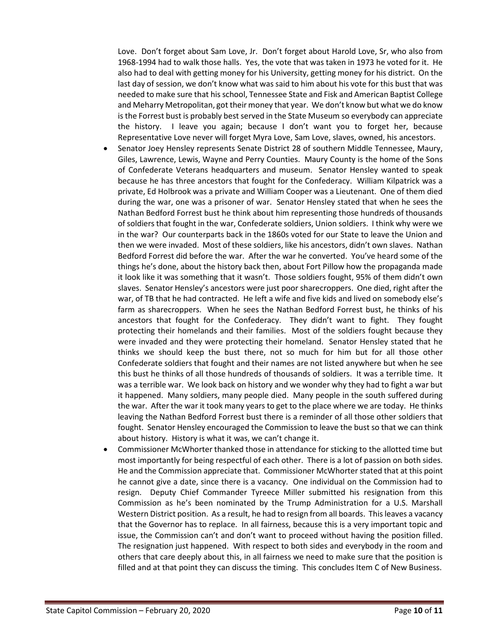Love. Don't forget about Sam Love, Jr. Don't forget about Harold Love, Sr, who also from 1968-1994 had to walk those halls. Yes, the vote that was taken in 1973 he voted for it. He also had to deal with getting money for his University, getting money for his district. On the last day of session, we don't know what was said to him about his vote for this bust that was needed to make sure that his school, Tennessee State and Fisk and American Baptist College and Meharry Metropolitan, got their money that year. We don't know but what we do know is the Forrest bust is probably best served in the State Museum so everybody can appreciate the history. I leave you again; because I don't want you to forget her, because Representative Love never will forget Myra Love, Sam Love, slaves, owned, his ancestors.

- Senator Joey Hensley represents Senate District 28 of southern Middle Tennessee, Maury, Giles, Lawrence, Lewis, Wayne and Perry Counties. Maury County is the home of the Sons of Confederate Veterans headquarters and museum. Senator Hensley wanted to speak because he has three ancestors that fought for the Confederacy. William Kilpatrick was a private, Ed Holbrook was a private and William Cooper was a Lieutenant. One of them died during the war, one was a prisoner of war. Senator Hensley stated that when he sees the Nathan Bedford Forrest bust he think about him representing those hundreds of thousands of soldiers that fought in the war, Confederate soldiers, Union soldiers. I think why were we in the war? Our counterparts back in the 1860s voted for our State to leave the Union and then we were invaded. Most of these soldiers, like his ancestors, didn't own slaves. Nathan Bedford Forrest did before the war. After the war he converted. You've heard some of the things he's done, about the history back then, about Fort Pillow how the propaganda made it look like it was something that it wasn't. Those soldiers fought, 95% of them didn't own slaves. Senator Hensley's ancestors were just poor sharecroppers. One died, right after the war, of TB that he had contracted. He left a wife and five kids and lived on somebody else's farm as sharecroppers. When he sees the Nathan Bedford Forrest bust, he thinks of his ancestors that fought for the Confederacy. They didn't want to fight. They fought protecting their homelands and their families. Most of the soldiers fought because they were invaded and they were protecting their homeland. Senator Hensley stated that he thinks we should keep the bust there, not so much for him but for all those other Confederate soldiers that fought and their names are not listed anywhere but when he see this bust he thinks of all those hundreds of thousands of soldiers. It was a terrible time. It was a terrible war. We look back on history and we wonder why they had to fight a war but it happened. Many soldiers, many people died. Many people in the south suffered during the war. After the war it took many years to get to the place where we are today. He thinks leaving the Nathan Bedford Forrest bust there is a reminder of all those other soldiers that fought. Senator Hensley encouraged the Commission to leave the bust so that we can think about history. History is what it was, we can't change it.
- Commissioner McWhorter thanked those in attendance for sticking to the allotted time but most importantly for being respectful of each other. There is a lot of passion on both sides. He and the Commission appreciate that. Commissioner McWhorter stated that at this point he cannot give a date, since there is a vacancy. One individual on the Commission had to resign. Deputy Chief Commander Tyreece Miller submitted his resignation from this Commission as he's been nominated by the Trump Administration for a U.S. Marshall Western District position. As a result, he had to resign from all boards. This leaves a vacancy that the Governor has to replace. In all fairness, because this is a very important topic and issue, the Commission can't and don't want to proceed without having the position filled. The resignation just happened. With respect to both sides and everybody in the room and others that care deeply about this, in all fairness we need to make sure that the position is filled and at that point they can discuss the timing. This concludes Item C of New Business.